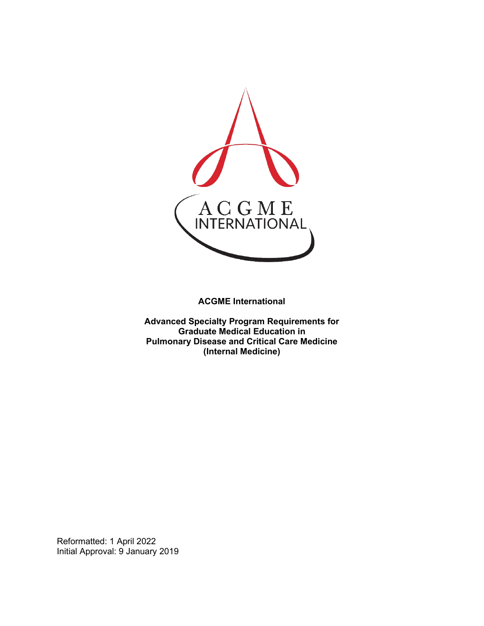

**ACGME International** 

**Advanced Specialty Program Requirements for Graduate Medical Education in Pulmonary Disease and Critical Care Medicine (Internal Medicine)**

Reformatted: 1 April 2022 Initial Approval: 9 January 2019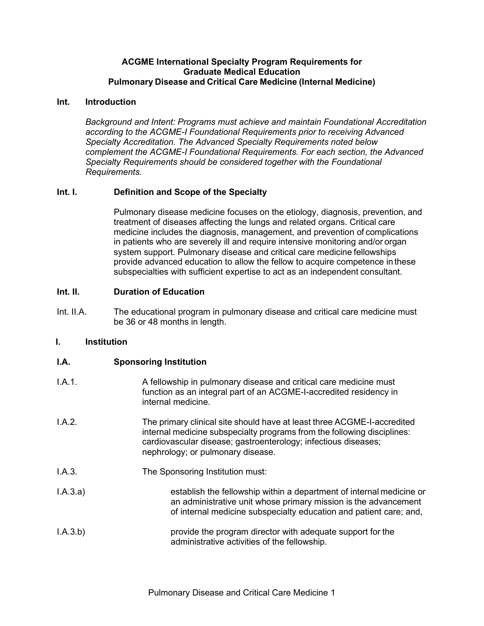### **ACGME International Specialty Program Requirements for Graduate Medical Education Pulmonary Disease and Critical Care Medicine (Internal Medicine)**

## **Int. Introduction**

*Background and Intent: Programs must achieve and maintain Foundational Accreditation according to the ACGME-I Foundational Requirements prior to receiving Advanced Specialty Accreditation. The Advanced Specialty Requirements noted below complement the ACGME-I Foundational Requirements. For each section, the Advanced Specialty Requirements should be considered together with the Foundational Requirements.*

# **Int. I. Definition and Scope of the Specialty**

Pulmonary disease medicine focuses on the etiology, diagnosis, prevention, and treatment of diseases affecting the lungs and related organs. Critical care medicine includes the diagnosis, management, and prevention of complications in patients who are severely ill and require intensive monitoring and/or organ system support. Pulmonary disease and critical care medicine fellowships provide advanced education to allow the fellow to acquire competence in these subspecialties with sufficient expertise to act as an independent consultant.

# **Int. II. Duration of Education**

Int. II.A. The educational program in pulmonary disease and critical care medicine must be 36 or 48 months in length.

# **I. Institution**

# **I.A. Sponsoring Institution**

- I.A.1. A fellowship in pulmonary disease and critical care medicine must function as an integral part of an ACGME-I-accredited residency in internal medicine.
- I.A.2. The primary clinical site should have at least three ACGME-I-accredited internal medicine subspecialty programs from the following disciplines: cardiovascular disease; gastroenterology; infectious diseases; nephrology; or pulmonary disease.
- I.A.3. The Sponsoring Institution must:
- I.A.3.a) establish the fellowship within a department of internal medicine or an administrative unit whose primary mission is the advancement of internal medicine subspecialty education and patient care; and,
- I.A.3.b) provide the program director with adequate support for the administrative activities of the fellowship.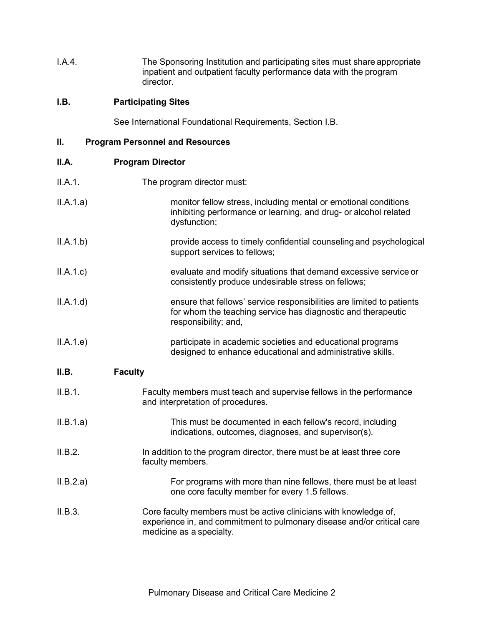I.A.4. The Sponsoring Institution and participating sites must share appropriate inpatient and outpatient faculty performance data with the program director.

# **I.B. Participating Sites**

See International Foundational Requirements, Section I.B.

| П. | <b>Program Personnel and Resources</b> |
|----|----------------------------------------|
|----|----------------------------------------|

| ш.        | Program Personnel and Resources                                                                                                                                          |
|-----------|--------------------------------------------------------------------------------------------------------------------------------------------------------------------------|
| II.A.     | <b>Program Director</b>                                                                                                                                                  |
| II.A.1.   | The program director must:                                                                                                                                               |
| ILA.1.a)  | monitor fellow stress, including mental or emotional conditions<br>inhibiting performance or learning, and drug- or alcohol related<br>dysfunction;                      |
| ILA.1.b)  | provide access to timely confidential counseling and psychological<br>support services to fellows;                                                                       |
| ILA.1.c)  | evaluate and modify situations that demand excessive service or<br>consistently produce undesirable stress on fellows;                                                   |
| ILA.1.d)  | ensure that fellows' service responsibilities are limited to patients<br>for whom the teaching service has diagnostic and therapeutic<br>responsibility; and,            |
| ILA.1.e)  | participate in academic societies and educational programs<br>designed to enhance educational and administrative skills.                                                 |
| II.B.     | <b>Faculty</b>                                                                                                                                                           |
| II.B.1.   | Faculty members must teach and supervise fellows in the performance<br>and interpretation of procedures.                                                                 |
| ILB.1.a)  | This must be documented in each fellow's record, including<br>indications, outcomes, diagnoses, and supervisor(s).                                                       |
| II.B.2.   | In addition to the program director, there must be at least three core<br>faculty members.                                                                               |
| II.B.2.a) | For programs with more than nine fellows, there must be at least<br>one core faculty member for every 1.5 fellows.                                                       |
| II.B.3.   | Core faculty members must be active clinicians with knowledge of,<br>experience in, and commitment to pulmonary disease and/or critical care<br>medicine as a specialty. |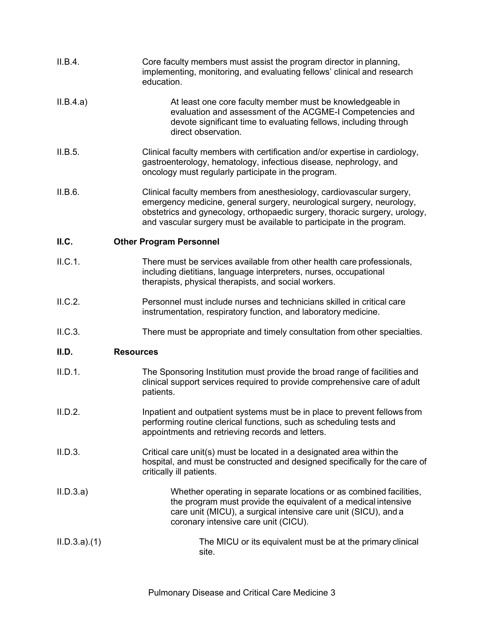| II.B.4.     | Core faculty members must assist the program director in planning,<br>implementing, monitoring, and evaluating fellows' clinical and research<br>education.                                                                                                                                           |
|-------------|-------------------------------------------------------------------------------------------------------------------------------------------------------------------------------------------------------------------------------------------------------------------------------------------------------|
| II.B.4.a)   | At least one core faculty member must be knowledgeable in<br>evaluation and assessment of the ACGME-I Competencies and<br>devote significant time to evaluating fellows, including through<br>direct observation.                                                                                     |
| II.B.5.     | Clinical faculty members with certification and/or expertise in cardiology,<br>gastroenterology, hematology, infectious disease, nephrology, and<br>oncology must regularly participate in the program.                                                                                               |
| II.B.6.     | Clinical faculty members from anesthesiology, cardiovascular surgery,<br>emergency medicine, general surgery, neurological surgery, neurology,<br>obstetrics and gynecology, orthopaedic surgery, thoracic surgery, urology,<br>and vascular surgery must be available to participate in the program. |
| II.C.       | <b>Other Program Personnel</b>                                                                                                                                                                                                                                                                        |
| II.C.1.     | There must be services available from other health care professionals,<br>including dietitians, language interpreters, nurses, occupational<br>therapists, physical therapists, and social workers.                                                                                                   |
| II.C.2.     | Personnel must include nurses and technicians skilled in critical care<br>instrumentation, respiratory function, and laboratory medicine.                                                                                                                                                             |
| II.C.3.     | There must be appropriate and timely consultation from other specialties.                                                                                                                                                                                                                             |
| II.D.       | <b>Resources</b>                                                                                                                                                                                                                                                                                      |
| II.D.1.     | The Sponsoring Institution must provide the broad range of facilities and<br>clinical support services required to provide comprehensive care of adult<br>patients.                                                                                                                                   |
| II.D.2.     | Inpatient and outpatient systems must be in place to prevent fellows from<br>performing routine clerical functions, such as scheduling tests and<br>appointments and retrieving records and letters.                                                                                                  |
| II.D.3.     | Critical care unit(s) must be located in a designated area within the<br>hospital, and must be constructed and designed specifically for the care of<br>critically ill patients.                                                                                                                      |
| II.D.3.a)   | Whether operating in separate locations or as combined facilities,<br>the program must provide the equivalent of a medical intensive<br>care unit (MICU), a surgical intensive care unit (SICU), and a<br>coronary intensive care unit (CICU).                                                        |
| ILD.3.a)(1) | The MICU or its equivalent must be at the primary clinical<br>site.                                                                                                                                                                                                                                   |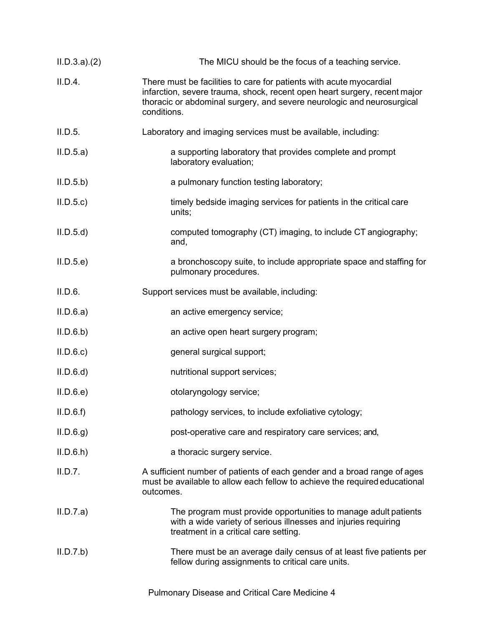| ILD.3.a)(2) | The MICU should be the focus of a teaching service.                                                                                                                                                                                       |
|-------------|-------------------------------------------------------------------------------------------------------------------------------------------------------------------------------------------------------------------------------------------|
| II.D.4.     | There must be facilities to care for patients with acute myocardial<br>infarction, severe trauma, shock, recent open heart surgery, recent major<br>thoracic or abdominal surgery, and severe neurologic and neurosurgical<br>conditions. |
| II.D.5.     | Laboratory and imaging services must be available, including:                                                                                                                                                                             |
| II.D.5.a)   | a supporting laboratory that provides complete and prompt<br>laboratory evaluation;                                                                                                                                                       |
| II.D.5.b)   | a pulmonary function testing laboratory;                                                                                                                                                                                                  |
| II.D.5.c    | timely bedside imaging services for patients in the critical care<br>units;                                                                                                                                                               |
| II.D.5.d    | computed tomography (CT) imaging, to include CT angiography;<br>and,                                                                                                                                                                      |
| II.D.5.e    | a bronchoscopy suite, to include appropriate space and staffing for<br>pulmonary procedures.                                                                                                                                              |
| II.D.6.     | Support services must be available, including:                                                                                                                                                                                            |
| II.D.6.a)   | an active emergency service;                                                                                                                                                                                                              |
| II.D.6.b)   | an active open heart surgery program;                                                                                                                                                                                                     |
| II.D.6.c    | general surgical support;                                                                                                                                                                                                                 |
| II.D.6.d    | nutritional support services;                                                                                                                                                                                                             |
| II.D.6.e    | otolaryngology service;                                                                                                                                                                                                                   |
| II.D.6.f    | pathology services, to include exfoliative cytology;                                                                                                                                                                                      |
| ILD.6.g     | post-operative care and respiratory care services; and,                                                                                                                                                                                   |
| II.D.6.h    | a thoracic surgery service.                                                                                                                                                                                                               |
| II.D.7.     | A sufficient number of patients of each gender and a broad range of ages<br>must be available to allow each fellow to achieve the required educational<br>outcomes.                                                                       |
| II.D.7.a)   | The program must provide opportunities to manage adult patients<br>with a wide variety of serious illnesses and injuries requiring<br>treatment in a critical care setting.                                                               |
| II.D.7.b)   | There must be an average daily census of at least five patients per<br>fellow during assignments to critical care units.                                                                                                                  |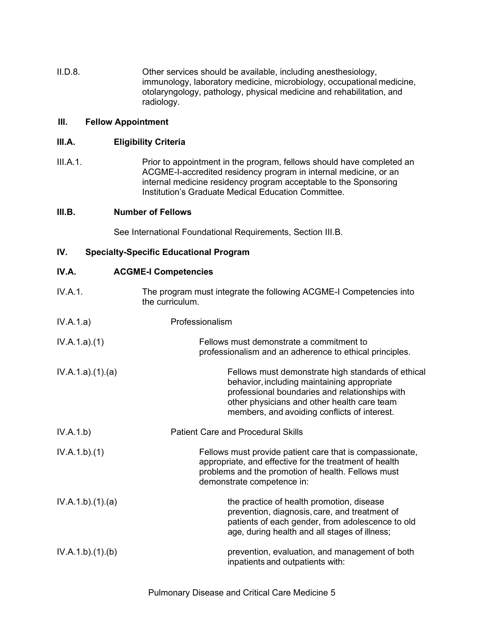II.D.8. Other services should be available, including anesthesiology, immunology, laboratory medicine, microbiology, occupational medicine, otolaryngology, pathology, physical medicine and rehabilitation, and radiology.

## **III. Fellow Appointment**

### **III.A. Eligibility Criteria**

III.A.1. Prior to appointment in the program, fellows should have completed an ACGME-I-accredited residency program in internal medicine, or an internal medicine residency program acceptable to the Sponsoring Institution's Graduate Medical Education Committee.

### **III.B. Number of Fellows**

See International Foundational Requirements, Section III.B.

## **IV. Specialty-Specific Educational Program**

| IV.A.           | <b>ACGME-I Competencies</b>                                                                                                                                                                                                                        |
|-----------------|----------------------------------------------------------------------------------------------------------------------------------------------------------------------------------------------------------------------------------------------------|
| IV.A.1.         | The program must integrate the following ACGME-I Competencies into<br>the curriculum.                                                                                                                                                              |
| IV.A.1.a)       | Professionalism                                                                                                                                                                                                                                    |
| IV.A.1.a)(1)    | Fellows must demonstrate a commitment to<br>professionalism and an adherence to ethical principles.                                                                                                                                                |
| IV.A.1.a)(1)(a) | Fellows must demonstrate high standards of ethical<br>behavior, including maintaining appropriate<br>professional boundaries and relationships with<br>other physicians and other health care team<br>members, and avoiding conflicts of interest. |
| IV.A.1.b)       | <b>Patient Care and Procedural Skills</b>                                                                                                                                                                                                          |
| IV.A.1.b)(1)    | Fellows must provide patient care that is compassionate,<br>appropriate, and effective for the treatment of health<br>problems and the promotion of health. Fellows must<br>demonstrate competence in:                                             |
| IV.A.1.b)(1)(a) | the practice of health promotion, disease<br>prevention, diagnosis, care, and treatment of<br>patients of each gender, from adolescence to old<br>age, during health and all stages of illness;                                                    |
| IV.A.1.b)(1)(b) | prevention, evaluation, and management of both<br>inpatients and outpatients with:                                                                                                                                                                 |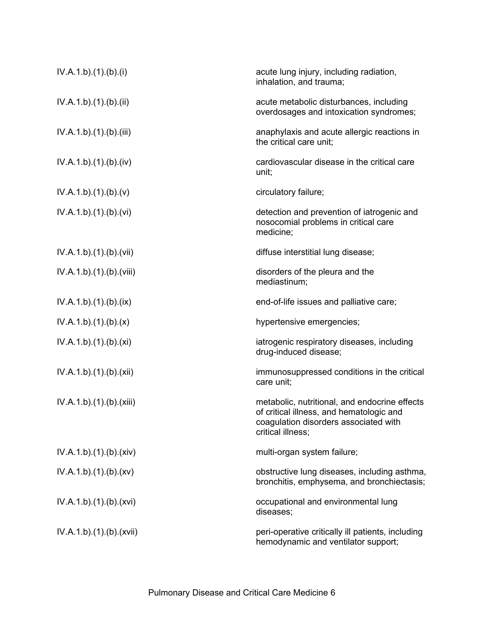| IV.A.1.b)(1)(b)(i)       | acute lung injury, including radiation,<br>inhalation, and trauma;                                                                                      |
|--------------------------|---------------------------------------------------------------------------------------------------------------------------------------------------------|
| IV.A.1.b).(1).(b).(ii)   | acute metabolic disturbances, including<br>overdosages and intoxication syndromes;                                                                      |
| IV.A.1.b)(1)(b)(iii)     | anaphylaxis and acute allergic reactions in<br>the critical care unit;                                                                                  |
| IV.A.1.b).(1).(b).(iv)   | cardiovascular disease in the critical care<br>unit;                                                                                                    |
| IV.A.1.b)(1)(b)(v)       | circulatory failure;                                                                                                                                    |
| IV.A.1.b)(1)(b)(vi)      | detection and prevention of iatrogenic and<br>nosocomial problems in critical care<br>medicine;                                                         |
| IV.A.1.b)(1)(b)(vii)     | diffuse interstitial lung disease;                                                                                                                      |
| IV.A.1.b)(1)(b)(viii)    | disorders of the pleura and the<br>mediastinum;                                                                                                         |
| IV.A.1.b)(1)(b)(ix)      | end-of-life issues and palliative care;                                                                                                                 |
| IV.A.1.b)(1)(b)(x)       | hypertensive emergencies;                                                                                                                               |
| IV.A.1.b)(1)(b)(xi)      | iatrogenic respiratory diseases, including<br>drug-induced disease;                                                                                     |
| IV.A.1.b)(1)(b)(xii)     | immunosuppressed conditions in the critical<br>care unit;                                                                                               |
| IV.A.1.b)(1)(b)(xiii)    | metabolic, nutritional, and endocrine effects<br>of critical illness, and hematologic and<br>coagulation disorders associated with<br>critical illness: |
| IV.A.1.b)(1)(b)(xiv)     | multi-organ system failure;                                                                                                                             |
| IV.A.1.b)(1)(b)(xv)      | obstructive lung diseases, including asthma,<br>bronchitis, emphysema, and bronchiectasis;                                                              |
| IV.A.1.b)(1)(b)(xvi)     | occupational and environmental lung<br>diseases;                                                                                                        |
| IV.A.1.b).(1).(b).(xvii) | peri-operative critically ill patients, including<br>hemodynamic and ventilator support;                                                                |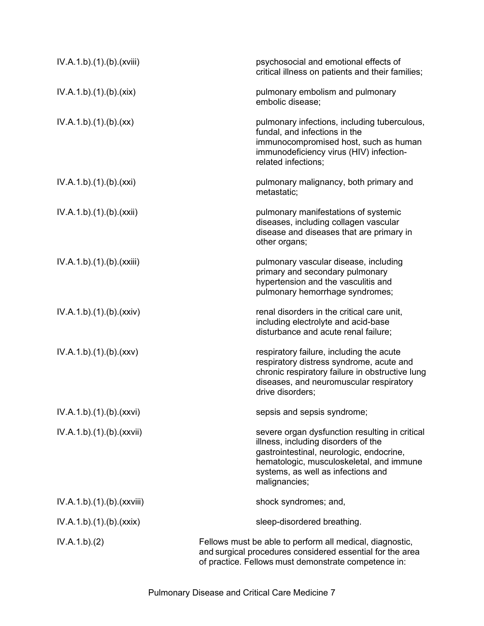| IV.A.1.b)(1)(b)(xviii)     | psychosocial and emotional effects of<br>critical illness on patients and their families;                                                                                                                                            |
|----------------------------|--------------------------------------------------------------------------------------------------------------------------------------------------------------------------------------------------------------------------------------|
| IV.A.1.b)(1)(b)(xix)       | pulmonary embolism and pulmonary<br>embolic disease;                                                                                                                                                                                 |
| IV.A.1.b)(1)(b)(xx)        | pulmonary infections, including tuberculous,<br>fundal, and infections in the<br>immunocompromised host, such as human<br>immunodeficiency virus (HIV) infection-<br>related infections;                                             |
| IV.A.1.b)(1)(b)(xxi)       | pulmonary malignancy, both primary and<br>metastatic;                                                                                                                                                                                |
| IV.A.1.b)(1)(b)(xxii)      | pulmonary manifestations of systemic<br>diseases, including collagen vascular<br>disease and diseases that are primary in<br>other organs;                                                                                           |
| IV.A.1.b).(1).(b).(xxiii)  | pulmonary vascular disease, including<br>primary and secondary pulmonary<br>hypertension and the vasculitis and<br>pulmonary hemorrhage syndromes;                                                                                   |
| IV.A.1.b)(1)(b)(xxiv)      | renal disorders in the critical care unit,<br>including electrolyte and acid-base<br>disturbance and acute renal failure;                                                                                                            |
| IV.A.1.b)(1)(b)(xxx)       | respiratory failure, including the acute<br>respiratory distress syndrome, acute and<br>chronic respiratory failure in obstructive lung<br>diseases, and neuromuscular respiratory<br>drive disorders;                               |
| IV.A.1.b).(1).(b).(xxvi)   | sepsis and sepsis syndrome;                                                                                                                                                                                                          |
| IV.A.1.b)(1)(b)(xxxii)     | severe organ dysfunction resulting in critical<br>illness, including disorders of the<br>gastrointestinal, neurologic, endocrine,<br>hematologic, musculoskeletal, and immune<br>systems, as well as infections and<br>malignancies; |
| IV.A.1.b).(1).(b).(xxviii) | shock syndromes; and,                                                                                                                                                                                                                |
| IV.A.1.b)(1)(b)(xxix)      | sleep-disordered breathing.                                                                                                                                                                                                          |
| IV.A.1.b)(2)               | Fellows must be able to perform all medical, diagnostic,<br>and surgical procedures considered essential for the area<br>of practice. Fellows must demonstrate competence in:                                                        |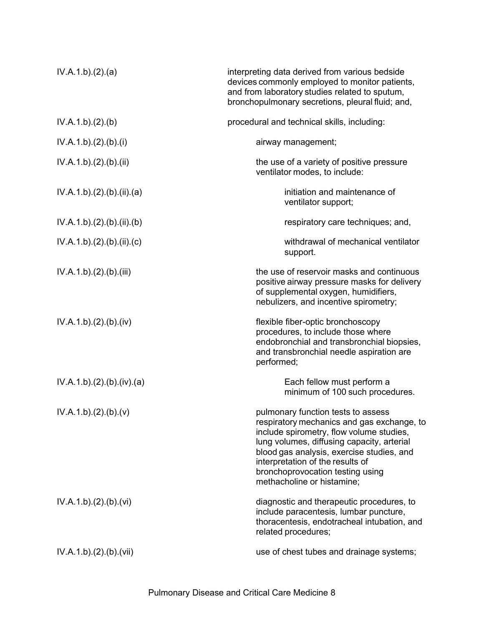| IV.A.1.b)(2).(a)        | interpreting data derived from various bedside<br>devices commonly employed to monitor patients,<br>and from laboratory studies related to sputum,<br>bronchopulmonary secretions, pleural fluid; and,                                                                                                                        |
|-------------------------|-------------------------------------------------------------------------------------------------------------------------------------------------------------------------------------------------------------------------------------------------------------------------------------------------------------------------------|
| IV.A.1.b)(2)(b)         | procedural and technical skills, including:                                                                                                                                                                                                                                                                                   |
| IV.A.1.b)(2)(b)(i)      | airway management;                                                                                                                                                                                                                                                                                                            |
| IV.A.1.b)(2)(b)(ii)     | the use of a variety of positive pressure<br>ventilator modes, to include:                                                                                                                                                                                                                                                    |
| IV.A.1.b)(2)(b)(ii)(a)  | initiation and maintenance of<br>ventilator support;                                                                                                                                                                                                                                                                          |
| IV.A.1.b)(2)(b)(ii)(b)  | respiratory care techniques; and,                                                                                                                                                                                                                                                                                             |
| IV.A.1.b)(2)(b)(ii)(c)  | withdrawal of mechanical ventilator<br>support.                                                                                                                                                                                                                                                                               |
| IV.A.1.b)(2)(b)(iii)    | the use of reservoir masks and continuous<br>positive airway pressure masks for delivery<br>of supplemental oxygen, humidifiers,<br>nebulizers, and incentive spirometry;                                                                                                                                                     |
| IV.A.1.b)(2)(b)(iv)     | flexible fiber-optic bronchoscopy<br>procedures, to include those where<br>endobronchial and transbronchial biopsies,<br>and transbronchial needle aspiration are<br>performed;                                                                                                                                               |
| IV.A.1.b)(2)(b)(iv)(a)  | Each fellow must perform a<br>minimum of 100 such procedures.                                                                                                                                                                                                                                                                 |
| IV.A.1.b)(2)(b)(v)      | pulmonary function tests to assess<br>respiratory mechanics and gas exchange, to<br>include spirometry, flow volume studies,<br>lung volumes, diffusing capacity, arterial<br>blood gas analysis, exercise studies, and<br>interpretation of the results of<br>bronchoprovocation testing using<br>methacholine or histamine; |
| IV.A.1.b)(2)(b)(vi)     | diagnostic and therapeutic procedures, to<br>include paracentesis, lumbar puncture,<br>thoracentesis, endotracheal intubation, and<br>related procedures;                                                                                                                                                                     |
| IV.A.1.b).(2).(b).(vii) | use of chest tubes and drainage systems;                                                                                                                                                                                                                                                                                      |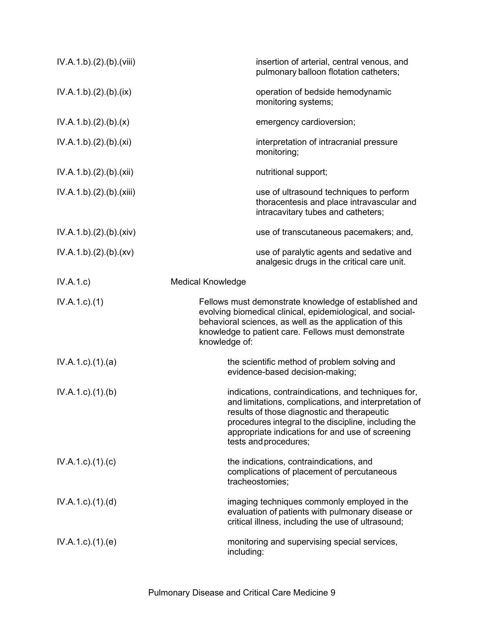| IV.A.1.b)(2)(b)(viii)     | insertion of arterial, central venous, and<br>pulmonary balloon flotation catheters;                                                                                                                                                                                                             |
|---------------------------|--------------------------------------------------------------------------------------------------------------------------------------------------------------------------------------------------------------------------------------------------------------------------------------------------|
| IV.A.1.b)(2)(b)(ix)       | operation of bedside hemodynamic<br>monitoring systems;                                                                                                                                                                                                                                          |
| IV.A.1.b)(2)(b)(x)        | emergency cardioversion;                                                                                                                                                                                                                                                                         |
| IV.A.1.b)(2)(b)(xi)       | interpretation of intracranial pressure<br>monitoring;                                                                                                                                                                                                                                           |
| IV.A.1.b)(2)(b)(xii)      | nutritional support;                                                                                                                                                                                                                                                                             |
| IV.A.1.b)(2)(b)(xiii)     | use of ultrasound techniques to perform<br>thoracentesis and place intravascular and<br>intracavitary tubes and catheters;                                                                                                                                                                       |
| IV.A.1.b)(2)(b)(xiv)      | use of transcutaneous pacemakers; and,                                                                                                                                                                                                                                                           |
| IV.A.1.b)(2)(b)(xv)       | use of paralytic agents and sedative and<br>analgesic drugs in the critical care unit.                                                                                                                                                                                                           |
| IV.A.1.c)                 | <b>Medical Knowledge</b>                                                                                                                                                                                                                                                                         |
| $IV.A.1.c.$ (1)           | Fellows must demonstrate knowledge of established and<br>evolving biomedical clinical, epidemiological, and social-<br>behavioral sciences, as well as the application of this<br>knowledge to patient care. Fellows must demonstrate<br>knowledge of:                                           |
| IV.A.1.c.1(1).(a)         | the scientific method of problem solving and<br>evidence-based decision-making;                                                                                                                                                                                                                  |
| $IV.A.1.c.$ (1).(b)       | indications, contraindications, and techniques for,<br>and limitations, complications, and interpretation of<br>results of those diagnostic and therapeutic<br>procedures integral to the discipline, including the<br>appropriate indications for and use of screening<br>tests and procedures; |
| $IV.A.1.c$ . $(1).$ $(c)$ | the indications, contraindications, and<br>complications of placement of percutaneous<br>tracheostomies;                                                                                                                                                                                         |
| $IV.A.1.c$ . $(1).$ $(d)$ | imaging techniques commonly employed in the<br>evaluation of patients with pulmonary disease or<br>critical illness, including the use of ultrasound;                                                                                                                                            |
| $IV.A.1.c$ . $(1).$ (e)   | monitoring and supervising special services,<br>including:                                                                                                                                                                                                                                       |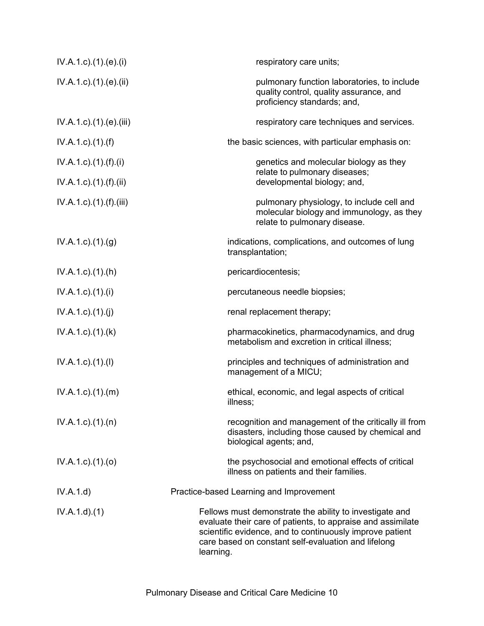| $IV.A.1.c$ ). $(1).e$ ). $(ii)$      | respiratory care units;                                                                                                                                                                                                                                |
|--------------------------------------|--------------------------------------------------------------------------------------------------------------------------------------------------------------------------------------------------------------------------------------------------------|
| $IV.A.1.c$ ). $(1).$ (e). $(ii)$     | pulmonary function laboratories, to include<br>quality control, quality assurance, and<br>proficiency standards; and,                                                                                                                                  |
| IV.A.1.c).(1).(e).(iii)              | respiratory care techniques and services.                                                                                                                                                                                                              |
| $IV.A.1.c$ . $(1).(f)$               | the basic sciences, with particular emphasis on:                                                                                                                                                                                                       |
| $IV.A.1.c$ ). $(1).(f).(i)$          | genetics and molecular biology as they                                                                                                                                                                                                                 |
| $IV.A.1.c$ ). $(1)$ . $(f)$ . $(ii)$ | relate to pulmonary diseases;<br>developmental biology; and,                                                                                                                                                                                           |
| $IV.A.1.c$ . $(1)$ . $(f)$ . $(iii)$ | pulmonary physiology, to include cell and<br>molecular biology and immunology, as they<br>relate to pulmonary disease.                                                                                                                                 |
| $IV.A.1.c.$ (1) $(g)$                | indications, complications, and outcomes of lung<br>transplantation;                                                                                                                                                                                   |
| $IV.A.1.c$ . $(1).(h)$               | pericardiocentesis;                                                                                                                                                                                                                                    |
| $IV.A.1.c$ ). $(1).$                 | percutaneous needle biopsies;                                                                                                                                                                                                                          |
| IV.A.1.c)(1)(j)                      | renal replacement therapy;                                                                                                                                                                                                                             |
| $IV.A.1.c$ . $(1).$ $(k)$            | pharmacokinetics, pharmacodynamics, and drug<br>metabolism and excretion in critical illness;                                                                                                                                                          |
| IV.A.1.c)(1)(I)                      | principles and techniques of administration and<br>management of a MICU;                                                                                                                                                                               |
| IV.A.1.c).(1).(m)                    | ethical, economic, and legal aspects of critical<br>illness;                                                                                                                                                                                           |
| $IV.A.1.c$ . $(1).$ $(n)$            | recognition and management of the critically ill from<br>disasters, including those caused by chemical and<br>biological agents; and,                                                                                                                  |
| $IV.A.1.c$ ). $(1).(o)$              | the psychosocial and emotional effects of critical<br>illness on patients and their families.                                                                                                                                                          |
| IV.A.1.d)                            | Practice-based Learning and Improvement                                                                                                                                                                                                                |
| IV.A.1.d)(1)                         | Fellows must demonstrate the ability to investigate and<br>evaluate their care of patients, to appraise and assimilate<br>scientific evidence, and to continuously improve patient<br>care based on constant self-evaluation and lifelong<br>learning. |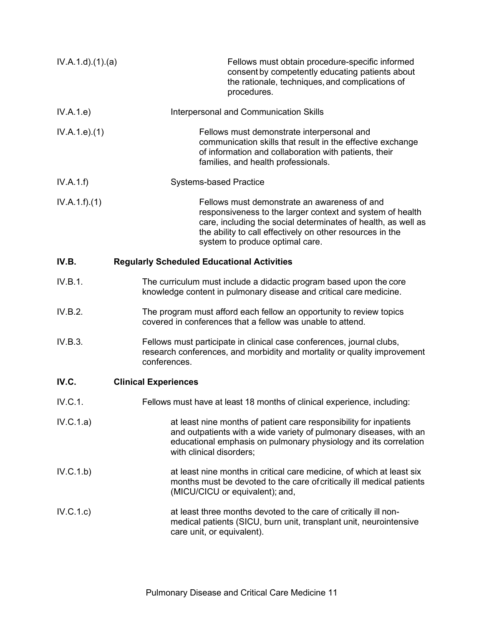| IV.A.1.d.(1).(a) | Fellows must obtain procedure-specific informed<br>consent by competently educating patients about<br>the rationale, techniques, and complications of<br>procedures.                                                                                                       |
|------------------|----------------------------------------------------------------------------------------------------------------------------------------------------------------------------------------------------------------------------------------------------------------------------|
| IV.A.1.e)        | Interpersonal and Communication Skills                                                                                                                                                                                                                                     |
| IV.A.1.e. (1)    | Fellows must demonstrate interpersonal and<br>communication skills that result in the effective exchange<br>of information and collaboration with patients, their<br>families, and health professionals.                                                                   |
| IV.A.1.f)        | <b>Systems-based Practice</b>                                                                                                                                                                                                                                              |
| IV.A.1.f)(1)     | Fellows must demonstrate an awareness of and<br>responsiveness to the larger context and system of health<br>care, including the social determinates of health, as well as<br>the ability to call effectively on other resources in the<br>system to produce optimal care. |
| IV.B.            | <b>Regularly Scheduled Educational Activities</b>                                                                                                                                                                                                                          |
| IV.B.1.          | The curriculum must include a didactic program based upon the core<br>knowledge content in pulmonary disease and critical care medicine.                                                                                                                                   |
| IV.B.2.          | The program must afford each fellow an opportunity to review topics<br>covered in conferences that a fellow was unable to attend.                                                                                                                                          |
| IV.B.3.          | Fellows must participate in clinical case conferences, journal clubs,<br>research conferences, and morbidity and mortality or quality improvement<br>conferences.                                                                                                          |
| IV.C.            | <b>Clinical Experiences</b>                                                                                                                                                                                                                                                |
| IV.C.1.          | Fellows must have at least 18 months of clinical experience, including:                                                                                                                                                                                                    |
| IV.C.1.a)        | at least nine months of patient care responsibility for inpatients<br>and outpatients with a wide variety of pulmonary diseases, with an<br>educational emphasis on pulmonary physiology and its correlation<br>with clinical disorders;                                   |
| IV.C.1.b)        | at least nine months in critical care medicine, of which at least six<br>months must be devoted to the care of critically ill medical patients<br>(MICU/CICU or equivalent); and,                                                                                          |
| IV.C.1.c)        | at least three months devoted to the care of critically ill non-<br>medical patients (SICU, burn unit, transplant unit, neurointensive<br>care unit, or equivalent).                                                                                                       |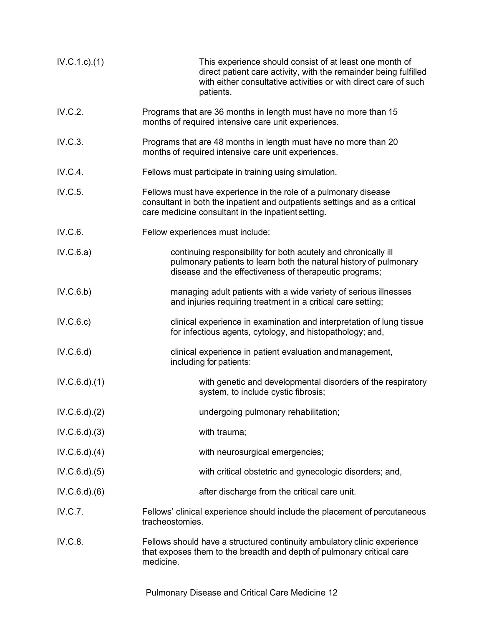| IV.C.1.c.1(1)     | This experience should consist of at least one month of<br>direct patient care activity, with the remainder being fulfilled<br>with either consultative activities or with direct care of such<br>patients. |
|-------------------|-------------------------------------------------------------------------------------------------------------------------------------------------------------------------------------------------------------|
| IV.C.2.           | Programs that are 36 months in length must have no more than 15<br>months of required intensive care unit experiences.                                                                                      |
| IV.C.3.           | Programs that are 48 months in length must have no more than 20<br>months of required intensive care unit experiences.                                                                                      |
| IV.C.4.           | Fellows must participate in training using simulation.                                                                                                                                                      |
| IV.C.5.           | Fellows must have experience in the role of a pulmonary disease<br>consultant in both the inpatient and outpatients settings and as a critical<br>care medicine consultant in the inpatient setting.        |
| IV.C.6.           | Fellow experiences must include:                                                                                                                                                                            |
| IV.C.6.a)         | continuing responsibility for both acutely and chronically ill<br>pulmonary patients to learn both the natural history of pulmonary<br>disease and the effectiveness of therapeutic programs;               |
| IV.C.6.b)         | managing adult patients with a wide variety of serious illnesses<br>and injuries requiring treatment in a critical care setting;                                                                            |
| IV.C.6.c)         | clinical experience in examination and interpretation of lung tissue<br>for infectious agents, cytology, and histopathology; and,                                                                           |
| IV.C.6.d)         | clinical experience in patient evaluation and management,<br>including for patients:                                                                                                                        |
| $IV.C.6.d$ $(1)$  | with genetic and developmental disorders of the respiratory<br>system, to include cystic fibrosis;                                                                                                          |
| $IV.C.6.d$ $.(2)$ | undergoing pulmonary rehabilitation;                                                                                                                                                                        |
| IV.C.6.d. (3)     | with trauma;                                                                                                                                                                                                |
| $IV.C.6.d$ $(4)$  | with neurosurgical emergencies;                                                                                                                                                                             |
| IV.C.6.d. (5)     | with critical obstetric and gynecologic disorders; and,                                                                                                                                                     |
| IV.C.6.d)(6)      | after discharge from the critical care unit.                                                                                                                                                                |
| IV.C.7.           | Fellows' clinical experience should include the placement of percutaneous<br>tracheostomies.                                                                                                                |
| IV.C.8.           | Fellows should have a structured continuity ambulatory clinic experience<br>that exposes them to the breadth and depth of pulmonary critical care<br>medicine.                                              |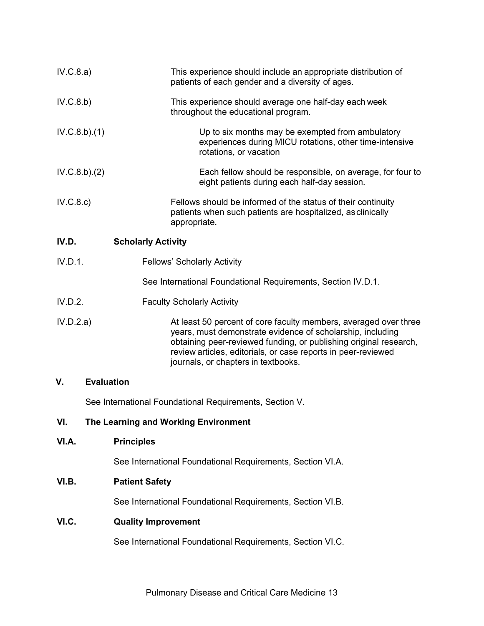| IV.C.8.a)    |                                                         | This experience should include an appropriate distribution of<br>patients of each gender and a diversity of ages.                                                                                                                                                                                           |  |
|--------------|---------------------------------------------------------|-------------------------------------------------------------------------------------------------------------------------------------------------------------------------------------------------------------------------------------------------------------------------------------------------------------|--|
| IV.C.8.b)    |                                                         | This experience should average one half-day each week<br>throughout the educational program.                                                                                                                                                                                                                |  |
| IV.C.8.b)(1) |                                                         | Up to six months may be exempted from ambulatory<br>experiences during MICU rotations, other time-intensive<br>rotations, or vacation                                                                                                                                                                       |  |
| IV.C.8.b)(2) |                                                         | Each fellow should be responsible, on average, for four to<br>eight patients during each half-day session.                                                                                                                                                                                                  |  |
| IV.C.8.c)    |                                                         | Fellows should be informed of the status of their continuity<br>patients when such patients are hospitalized, as clinically<br>appropriate.                                                                                                                                                                 |  |
| IV.D.        | <b>Scholarly Activity</b>                               |                                                                                                                                                                                                                                                                                                             |  |
| IV.D.1.      |                                                         | <b>Fellows' Scholarly Activity</b>                                                                                                                                                                                                                                                                          |  |
|              |                                                         | See International Foundational Requirements, Section IV.D.1.                                                                                                                                                                                                                                                |  |
| IV.D.2.      |                                                         | <b>Faculty Scholarly Activity</b>                                                                                                                                                                                                                                                                           |  |
| IV.D.2.a)    |                                                         | At least 50 percent of core faculty members, averaged over three<br>years, must demonstrate evidence of scholarship, including<br>obtaining peer-reviewed funding, or publishing original research,<br>review articles, editorials, or case reports in peer-reviewed<br>journals, or chapters in textbooks. |  |
| V.           | <b>Evaluation</b>                                       |                                                                                                                                                                                                                                                                                                             |  |
|              | See International Foundational Requirements, Section V. |                                                                                                                                                                                                                                                                                                             |  |
| VI.          |                                                         | The Learning and Working Environment                                                                                                                                                                                                                                                                        |  |
| VI.A.        | <b>Principles</b>                                       |                                                                                                                                                                                                                                                                                                             |  |
|              |                                                         | See International Foundational Requirements, Section VI.A.                                                                                                                                                                                                                                                  |  |
| VI.B.        | <b>Patient Safety</b>                                   |                                                                                                                                                                                                                                                                                                             |  |
|              |                                                         | See International Foundational Requirements, Section VI.B.                                                                                                                                                                                                                                                  |  |
| VI.C.        | <b>Quality Improvement</b>                              |                                                                                                                                                                                                                                                                                                             |  |

See International Foundational Requirements, Section VI.C.